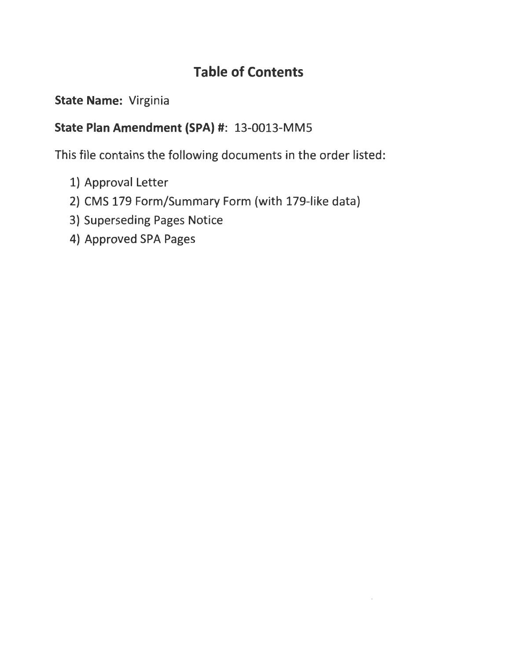## **Table of Contents**

### **State Name:** Virginia

### **State Plan Amendment (SPA)#:** 13-0013-MMS

This file contains the following documents in the order listed:

- 
- 1) Approval Letter<br>2) CMS 179 Form/Summary Form (with 179-like data)
- 3) Superseding Pages Notice
- 4) Approved SPA Pages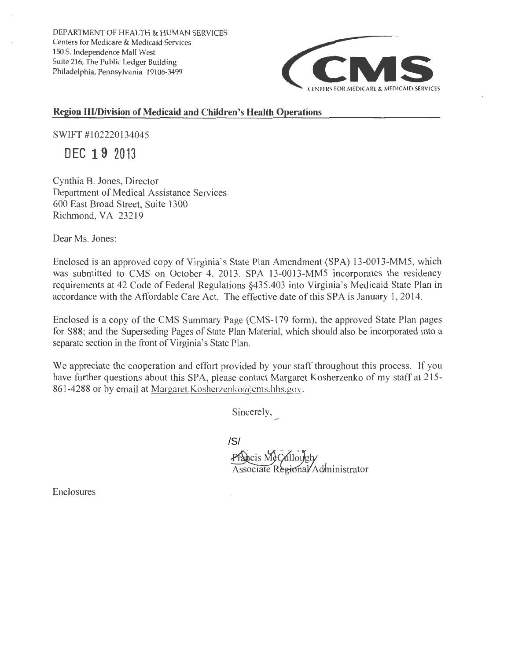DEPARTMENT OF HEALTH & HUMAN SERVICES Centers for Medicare & Medicaid Services 150 S. Independence Mall West Suite 216, The Public Ledger Building



#### **Region Ill/Division of Medicaid and Children's Health Operations**

SWIFT #102220134045

**DEC 19 2013** 

Cynthia B. Jones, Director Department of Medical Assistance Services 600 East Broad Street, Suite 1300 Richmond, VA 23219

Dear Ms. Jones:

Enclosed is an approved copy of Virginia's State Plan Amendment (SPA) 13-0013-MM5, which was submitted to CMS on October 4, 2013. SPA 13-0013-MM5 incorporates the residency requirements at 42 Code of Federal Regulations §435.403 into Virginia's Medicaid State Plan in accordance with the Affordable Care Act. The effective date of this SPA is January I, 2014.

Enclosed is a copy of the CMS Summary Page (CMS-179 form), the approved State Plan pages for S88; and the Superseding Pages of State Plan Material, which should also be incorporated into a separate section in the front of Virginia's State Plan.

We appreciate the cooperation and effort provided by your staff throughout this process. If you have further questions about this SPA, please contact Margaret Kosherzenko of my staff at 215- 861-4288 or by email at Margaret.Kosherzenko@ems.hhs.gov.

Sincerely,<br>  $\overline{a}$ 

Associate Regional/Administrator /S/<br>Prancis MeCallowgh/

Enclosures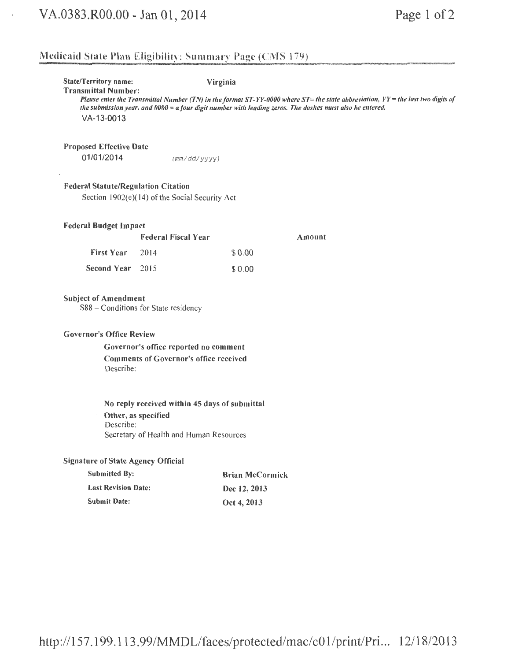$\epsilon$ 

### Medicaid State Plan Eligibility; Summary Page (CMS 179)

| <b>State/Territory name:</b><br><b>Transmittal Number:</b><br>VA-13-0013    |                                                                                                                                | Virginia               | Please enter the Transmittal Number (TN) in the format ST-YY-0000 where ST= the state abbreviation, YY = the last two digits of<br>the submission year, and 0000 = a four digit number with leading zeros. The dashes must also be entered. |  |  |  |  |  |
|-----------------------------------------------------------------------------|--------------------------------------------------------------------------------------------------------------------------------|------------------------|---------------------------------------------------------------------------------------------------------------------------------------------------------------------------------------------------------------------------------------------|--|--|--|--|--|
| <b>Proposed Effective Date</b><br>01/01/2014                                | (mm/dd/yyyy)                                                                                                                   |                        |                                                                                                                                                                                                                                             |  |  |  |  |  |
| <b>Federal Statute/Regulation Citation</b>                                  | Section 1902(e)(14) of the Social Security Act                                                                                 |                        |                                                                                                                                                                                                                                             |  |  |  |  |  |
| <b>Federal Budget Impact</b>                                                |                                                                                                                                |                        |                                                                                                                                                                                                                                             |  |  |  |  |  |
|                                                                             | <b>Federal Fiscal Year</b>                                                                                                     |                        | Amount                                                                                                                                                                                                                                      |  |  |  |  |  |
| <b>First Year</b>                                                           | 2014                                                                                                                           | \$0.00                 |                                                                                                                                                                                                                                             |  |  |  |  |  |
| <b>Second Year</b>                                                          | 2015                                                                                                                           | \$0.00                 |                                                                                                                                                                                                                                             |  |  |  |  |  |
| <b>Subject of Amendment</b><br><b>Governor's Office Review</b><br>Describe: | S88 - Conditions for State residency<br>Governor's office reported no comment<br><b>Comments of Governor's office received</b> |                        |                                                                                                                                                                                                                                             |  |  |  |  |  |
| No reply received within 45 days of submittal                               |                                                                                                                                |                        |                                                                                                                                                                                                                                             |  |  |  |  |  |
| Describe:                                                                   | Other, as specified<br>Secretary of Health and Human Resources                                                                 |                        |                                                                                                                                                                                                                                             |  |  |  |  |  |
| <b>Signature of State Agency Official</b>                                   |                                                                                                                                |                        |                                                                                                                                                                                                                                             |  |  |  |  |  |
| <b>Submitted By:</b>                                                        |                                                                                                                                | <b>Brian McCormick</b> |                                                                                                                                                                                                                                             |  |  |  |  |  |
| <b>Last Revision Date:</b>                                                  |                                                                                                                                | Dec 12, 2013           |                                                                                                                                                                                                                                             |  |  |  |  |  |
| <b>Submit Date:</b>                                                         |                                                                                                                                | Oct 4, 2013            |                                                                                                                                                                                                                                             |  |  |  |  |  |
|                                                                             |                                                                                                                                |                        |                                                                                                                                                                                                                                             |  |  |  |  |  |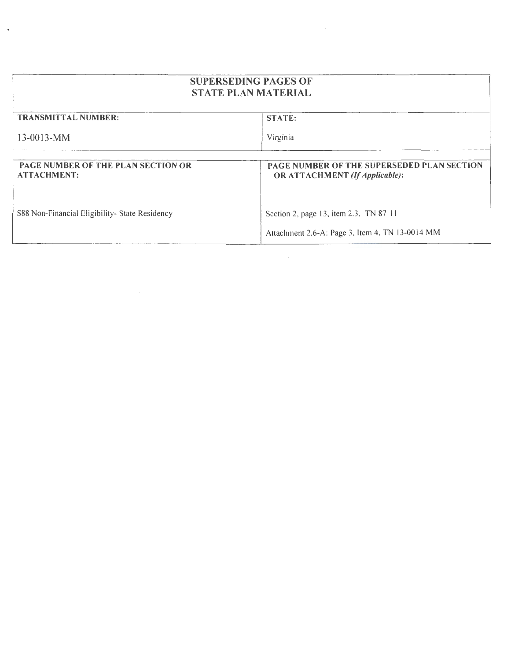| <b>SUPERSEDING PAGES OF</b><br><b>STATE PLAN MATERIAL</b>       |                                                                              |
|-----------------------------------------------------------------|------------------------------------------------------------------------------|
| <b>TRANSMITTAL NUMBER:</b>                                      | <b>STATE:</b>                                                                |
| $13 - 0013 - MM$                                                | Virginia                                                                     |
|                                                                 |                                                                              |
| <b>PAGE NUMBER OF THE PLAN SECTION OR</b><br><b>ATTACHMENT:</b> | PAGE NUMBER OF THE SUPERSEDED PLAN SECTION<br>OR ATTACHMENT (If Applicable): |
|                                                                 |                                                                              |
| S88 Non-Financial Eligibility- State Residency                  | Section 2, page 13, item 2.3, TN 87-11                                       |
|                                                                 | Attachment 2.6-A: Page 3, Item 4, TN 13-0014 MM                              |

 $\ddot{\phantom{1}}$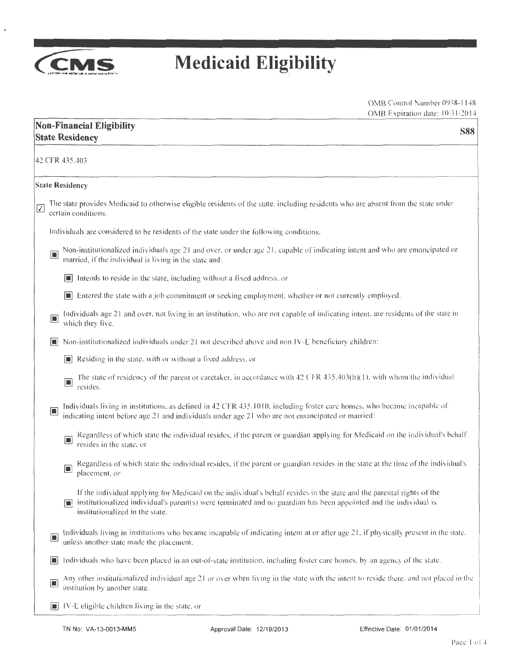

 $\pmb{\ast}$ 

## **Medicaid Eligibility**

|                      |                | <b>Non-Financial Eligibility</b><br><b>S88</b><br><b>State Residency</b>                                                                                                                                                                                                       |
|----------------------|----------------|--------------------------------------------------------------------------------------------------------------------------------------------------------------------------------------------------------------------------------------------------------------------------------|
|                      |                | 42 CFR 435.403                                                                                                                                                                                                                                                                 |
|                      |                | <b>State Residency</b>                                                                                                                                                                                                                                                         |
| $\sqrt{\phantom{a}}$ |                | The state provides Medicaid to otherwise eligible residents of the state, including residents who are absent from the state under<br>certain conditions.                                                                                                                       |
|                      |                | Individuals are considered to be residents of the state under the following conditions:                                                                                                                                                                                        |
|                      | ш              | Non-institutionalized individuals age 21 and over, or under age 21, capable of indicating intent and who are emancipated or<br>married, if the individual is living in the state and:                                                                                          |
|                      |                | Intends to reside in the state, including without a fixed address, or                                                                                                                                                                                                          |
|                      |                | Entered the state with a job commitment or seeking employment, whether or not currently employed.                                                                                                                                                                              |
|                      | $\Box$         | Individuals age 21 and over, not living in an institution, who are not capable of indicating intent, are residents of the state in<br>which they live.                                                                                                                         |
|                      | H              | Non-institutionalized individuals under 21 not described above and non IV-E beneficiary children:                                                                                                                                                                              |
|                      |                | $\Box$ Residing in the state, with or without a fixed address, or                                                                                                                                                                                                              |
|                      |                | The state of residency of the parent or caretaker, in accordance with 42 CFR 435.403(h)(1), with whom the individual<br>$\blacksquare$<br>resides.                                                                                                                             |
|                      | c              | Individuals living in institutions, as defined in 42 CFR 435.1010, including foster care homes, who became incapable of<br>indicating intent before age 21 and individuals under age 21 who are not emancipated or married:                                                    |
|                      |                | Regardless of which state the individual resides, if the parent or guardian applying for Medicaid on the individual's behalf<br>$\Box$<br>resides in the state, or                                                                                                             |
|                      |                | Regardless of which state the individual resides, if the parent or guardian resides in the state at the time of the individual's<br>$\blacksquare$<br>placement, or                                                                                                            |
|                      |                | If the individual applying for Medicaid on the individual's behalf resides in the state and the parental rights of the<br>institutionalized individual's parent(s) were terminated and no guardian has been appointed and the individual is<br>institutionalized in the state. |
|                      | $\Box$         | Individuals living in institutions who became incapable of indicating intent at or after age 21, if physically present in the state,<br>unless another state made the placement.                                                                                               |
|                      | $\blacksquare$ | Individuals who have been placed in an out-of-state institution, including foster care homes, by an agency of the state.                                                                                                                                                       |
|                      | $\Box$         | Any other institutionalized individual age 21 or over when living in the state with the intent to reside there, and not placed in the<br>institution by another state.                                                                                                         |
|                      |                | IV-E eligible children living in the state, or                                                                                                                                                                                                                                 |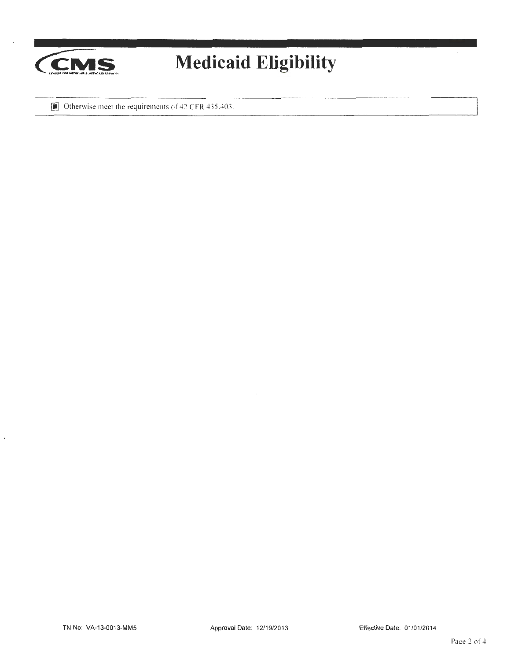

# **Medicaid Eligibility**

 $\Box$  Otherwise meet the requirements of 42 CFR 435.403.

 $\ddot{\phantom{a}}$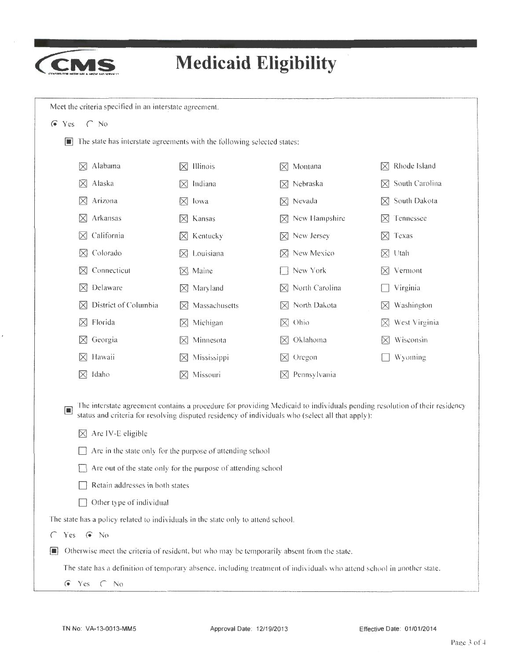

 $\cdot$ 

# **Medicaid Eligibility**

| i II                                                                              | The state has interstate agreements with the following selected states:                                                           |                                                                                                                                                                                                                               |                |
|-----------------------------------------------------------------------------------|-----------------------------------------------------------------------------------------------------------------------------------|-------------------------------------------------------------------------------------------------------------------------------------------------------------------------------------------------------------------------------|----------------|
| Alabama                                                                           | Illinois                                                                                                                          | Montana                                                                                                                                                                                                                       | Rhode Island   |
| $\bowtie$                                                                         | IХI                                                                                                                               | M                                                                                                                                                                                                                             | $\bowtie$      |
| Alaska                                                                            | Indiana                                                                                                                           | $\boxtimes$ Nebraska                                                                                                                                                                                                          | South Carolina |
| $\bowtie$                                                                         | M                                                                                                                                 |                                                                                                                                                                                                                               | IХI            |
| Arizona                                                                           | $\bowtie$                                                                                                                         | $\boxtimes$ Nevada                                                                                                                                                                                                            | South Dakota   |
| $\times$                                                                          | -lowa                                                                                                                             |                                                                                                                                                                                                                               | $\times$       |
| Arkansas                                                                          | $\times$                                                                                                                          | New Hampshire                                                                                                                                                                                                                 | Tennessee      |
| $\boxtimes$                                                                       | Kansas                                                                                                                            | IХI                                                                                                                                                                                                                           | M              |
| California                                                                        | Kentucky                                                                                                                          | New Jersey                                                                                                                                                                                                                    | Texas          |
| $\bowtie$                                                                         | $\boxtimes$                                                                                                                       | $\bowtie$                                                                                                                                                                                                                     | $\bowtie$      |
| Colorado                                                                          | Louisiana                                                                                                                         | New Mexico                                                                                                                                                                                                                    | Utah           |
| M                                                                                 | $\bowtie$                                                                                                                         | IХI                                                                                                                                                                                                                           | $\bowtie$      |
| Connecticut                                                                       | Maine                                                                                                                             | New York                                                                                                                                                                                                                      | Vermont        |
| $\times$                                                                          | $\bowtie$                                                                                                                         |                                                                                                                                                                                                                               | IХI            |
| Delaware                                                                          | Maryland                                                                                                                          | North Carolina                                                                                                                                                                                                                | Virginia       |
| $\bowtie$                                                                         | $\times$                                                                                                                          | IХI                                                                                                                                                                                                                           |                |
| District of Columbia                                                              | Massachusetts                                                                                                                     | North Dakota                                                                                                                                                                                                                  | Washington     |
| $\bowtie$                                                                         | $\bowtie$                                                                                                                         | IХI                                                                                                                                                                                                                           | $\bowtie$      |
| Florida                                                                           | Michigan                                                                                                                          | Ohio                                                                                                                                                                                                                          | West Virginia  |
| M                                                                                 | $\bowtie$                                                                                                                         | $\bowtie$                                                                                                                                                                                                                     | IХI            |
| Georgia                                                                           | Minnesota                                                                                                                         | $\boxtimes$ Oklahoma                                                                                                                                                                                                          | Wisconsin      |
| $\bowtie$                                                                         | $\boxtimes$                                                                                                                       |                                                                                                                                                                                                                               | $\bowtie$      |
| $\times$<br>Hawaii                                                                | Mississippi<br>$\boxtimes$                                                                                                        | $\times$ Oregon                                                                                                                                                                                                               | Wyoming        |
| idaho                                                                             | Missouri                                                                                                                          | Pennsylvania                                                                                                                                                                                                                  |                |
| $\boxtimes$                                                                       | $\times$                                                                                                                          | IХI                                                                                                                                                                                                                           |                |
| $\blacksquare$<br>Are IV-E eligible<br>$\bowtie$                                  | Are in the state only for the purpose of attending school<br>$\Box$ Are out of the state only for the purpose of attending school | The interstate agreement contains a procedure for providing Medicaid to individuals pending resolution of their residency<br>status and criteria for resolving disputed residency of individuals who (select all that apply): |                |
| Retain addresses in both states                                                   |                                                                                                                                   |                                                                                                                                                                                                                               |                |
| Other type of individual                                                          |                                                                                                                                   |                                                                                                                                                                                                                               |                |
| The state has a policy related to individuals in the state only to attend school. |                                                                                                                                   |                                                                                                                                                                                                                               |                |
|                                                                                   |                                                                                                                                   |                                                                                                                                                                                                                               |                |